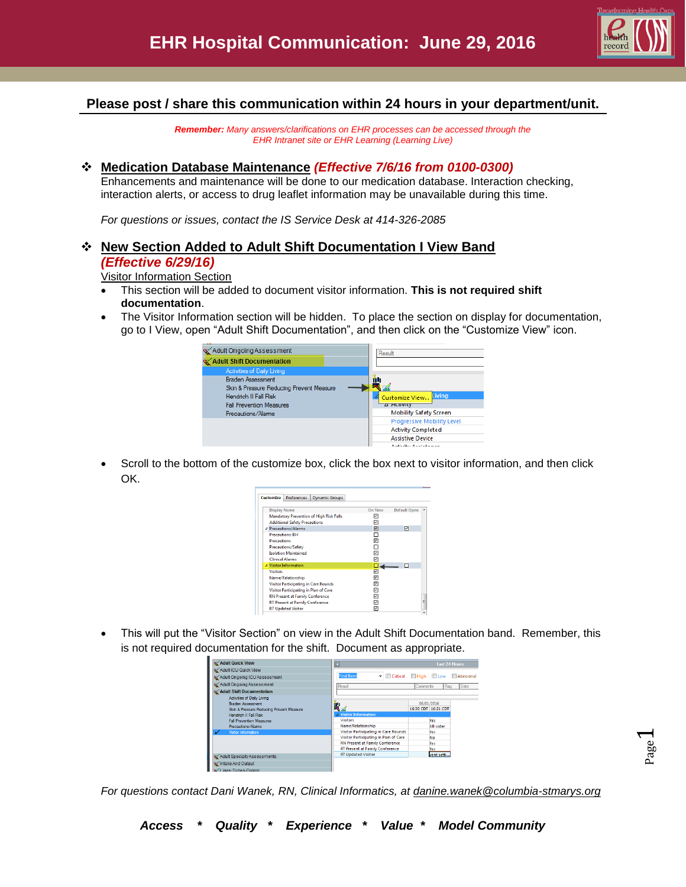

## **Please post / share this communication within 24 hours in your department/unit.**

*Remember: Many answers/clarifications on EHR processes can be accessed through the EHR Intranet site or EHR Learning (Learning Live)*

## **Medication Database Maintenance** *(Effective 7/6/16 from 0100-0300)*

Enhancements and maintenance will be done to our medication database. Interaction checking, interaction alerts, or access to drug leaflet information may be unavailable during this time.

*For questions or issues, contact the IS Service Desk at 414-326-2085* 

## **New Section Added to Adult Shift Documentation I View Band** *(Effective 6/29/16)*

Visitor Information Section

- This section will be added to document visitor information. **This is not required shift documentation**.
- The Visitor Information section will be hidden. To place the section on display for documentation, go to I View, open "Adult Shift Documentation", and then click on the "Customize View" icon.



 Scroll to the bottom of the customize box, click the box next to visitor information, and then click OK.

| <b>Customize</b>    | <b>Preferences</b>                          | <b>Dynamic Groups</b>                          |         |              |  |
|---------------------|---------------------------------------------|------------------------------------------------|---------|--------------|--|
| <b>Display Name</b> |                                             |                                                | On View | Default Open |  |
|                     |                                             | <b>Mandatory Prevention of High Risk Falls</b> | 罓       |              |  |
|                     | <b>Additional Safety Precautions</b>        |                                                | ⊡       |              |  |
|                     | 4 Precautions/Alarms                        |                                                | ☑       | 罓            |  |
|                     | <b>Precautions-BH</b>                       |                                                |         |              |  |
| <b>Precautions</b>  |                                             |                                                | 罓       |              |  |
|                     | Precautions/Safety                          |                                                |         |              |  |
|                     | <b>Isolation Maintained</b>                 |                                                | 罓       |              |  |
|                     | <b>Clinical Alarms</b>                      |                                                | ঢ়      |              |  |
|                     | 4 Visitor Information                       |                                                |         |              |  |
| <b>Visitors</b>     |                                             |                                                | ⊡       |              |  |
|                     | Name/Relationship                           |                                                | 罓       |              |  |
|                     | <b>Visitor Participating in Care Rounds</b> |                                                | ⊡       |              |  |
|                     | Visitor Participating in Plan of Care       |                                                | ☑       |              |  |
|                     | <b>RN Present at Family Conference</b>      |                                                | 罓       |              |  |
|                     | <b>RT Present at Family Conference</b>      |                                                | 罓       |              |  |
|                     | <b>RT Updated Visitor</b>                   |                                                | 1∽      |              |  |

 This will put the "Visitor Section" on view in the Adult Shift Documentation band. Remember, this is not required documentation for the shift. Document as appropriate.



*For questions contact Dani Wanek, RN, Clinical Informatics, at [danine.wanek@columbia-stmarys.org](mailto:danine.wanek@columbia-stmarys.org)*

Page  $\overline{\phantom{0}}$ 

*Access \* Quality \* Experience \* Value \* Model Community*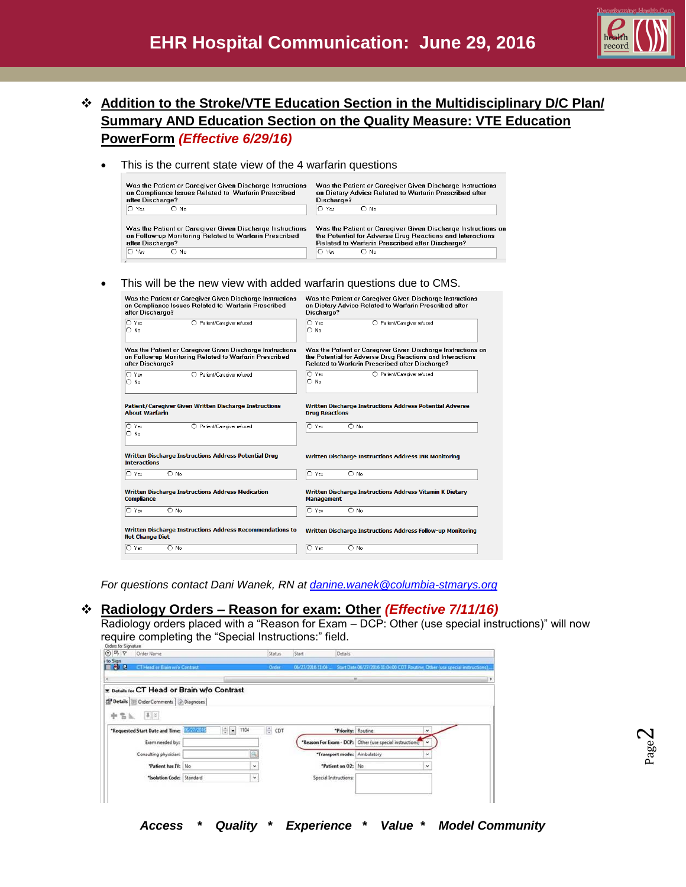

- **Addition to the Stroke/VTE Education Section in the Multidisciplinary D/C Plan/ Summary AND Education Section on the Quality Measure: VTE Education PowerForm** *(Effective 6/29/16)*
	- This is the current state view of the 4 warfarin questions

| Was the Patient or Caregiver Given Discharge Instructions | Was the Patient or Caregiver Given Discharge Instructions    |
|-----------------------------------------------------------|--------------------------------------------------------------|
| on Compliance Issues Related to Warfarin Prescribed       | on Dietary Advice Related to Warfarin Prescribed after       |
| after Discharge?                                          | Discharge?                                                   |
| $\cap$ Yes                                                | IO Yes                                                       |
| $\bigcap$ No                                              | $\bigcap$ No.                                                |
| Was the Patient or Caregiver Given Discharge Instructions | Was the Patient or Caregiver Given Discharge Instructions on |
| on Follow-up Monitoring Related to Warfarin Prescribed    | the Potential for Adverse Drug Reactions and Interactions    |
| after Discharge?                                          | Related to Warfarin Prescribed after Discharge?              |
| IO Yes                                                    | IO Yes                                                       |
| $\bigcap$ No                                              | $\bigcap$ No                                                 |

This will be the new view with added warfarin questions due to CMS.

| Was the Patient or Caregiver Given Discharge Instructions                                  | Was the Patient or Caregiver Given Discharge Instructions    |  |  |  |
|--------------------------------------------------------------------------------------------|--------------------------------------------------------------|--|--|--|
| on Compliance Issues Related to Warfarin Prescribed                                        | on Dietary Advice Related to Warfarin Prescribed after       |  |  |  |
| after Discharge?                                                                           | Discharge?                                                   |  |  |  |
| IO Yes                                                                                     | O Yes                                                        |  |  |  |
| O Patient/Caregiver refused                                                                | O Patient/Caregiver refused                                  |  |  |  |
| $\bigcirc$ No                                                                              | $\bigcap$ No                                                 |  |  |  |
| Was the Patient or Caregiver Given Discharge Instructions                                  | Was the Patient or Caregiver Given Discharge Instructions on |  |  |  |
| on Follow-up Monitoring Related to Warfarin Prescribed                                     | the Potential for Adverse Drug Reactions and Interactions    |  |  |  |
| after Discharge?                                                                           | Related to Warfarin Prescribed after Discharge?              |  |  |  |
| O Yes                                                                                      | O Yes                                                        |  |  |  |
| O Patient/Caregiver refused                                                                | O Patient/Caregiver refused                                  |  |  |  |
| $\bigcap$ No                                                                               | $\bigcap$ No                                                 |  |  |  |
| Patient/Caregiver Given Written Discharge Instructions                                     | Written Discharge Instructions Address Potential Adverse     |  |  |  |
| <b>About Warfarin</b>                                                                      | <b>Drug Reactions</b>                                        |  |  |  |
| $\cap$ Yes<br>◯ Patient/Caregiver refused<br>O No                                          | $O$ No.<br>O Yes                                             |  |  |  |
| Written Discharge Instructions Address Potential Drug<br><b>Interactions</b>               | Written Discharge Instructions Address INR Monitoring        |  |  |  |
| $O$ No.                                                                                    | O Yes                                                        |  |  |  |
| IO Yes                                                                                     | $\bigcirc$ No                                                |  |  |  |
| Written Discharge Instructions Address Medication                                          | Written Discharge Instructions Address Vitamin K Dietary     |  |  |  |
| <b>Compliance</b>                                                                          | <b>Management</b>                                            |  |  |  |
| $\circ$ Yes                                                                                | O Yes                                                        |  |  |  |
| $O$ No.                                                                                    | $O$ No.                                                      |  |  |  |
| <b>Written Discharge Instructions Address Recommendations to</b><br><b>Not Change Diet</b> | Written Discharge Instructions Address Follow-up Monitoring  |  |  |  |
| l∩ Yes                                                                                     | $O$ No                                                       |  |  |  |
| $\bigcap$ No                                                                               | $\circ$ Yes                                                  |  |  |  |

*For questions contact Dani Wanek, RN at [danine.wanek@columbia-stmarys.org](mailto:danine.wanek@columbia-stmarys.org)*

## **Radiology Orders – Reason for exam: Other** *(Effective 7/11/16)*

Radiology orders placed with a "Reason for Exam – DCP: Other (use special instructions)" will now require completing the "Special Instructions:" field.

| to Sign<br><b>FBB</b><br>CT Head or Brain w/o Contrast<br><b>Order</b><br>06/27/2016 11:04<br>Start Date 06/27/2016 11:04:00 CDT Routine, Other (use special instructions).<br>m<br>$\epsilon$<br>E Details for CT Head or Brain w/o Contrast<br>Details   Details Order Comments   Diagnoses<br>$\mathbbmss{1}$ $\lesssim$<br>中宫礼<br>1104<br>Hal<br>÷ CDT<br>"Requested Start Date and Time: 22222013<br>"Priority: Routine<br>v.<br>"Reason For Exam - DCP: Other (use special instructions)"<br>Exam needed by::<br>×.<br>"Transport mode: Ambulatory<br>٠ | $(9)$ = $9$<br>Order Name |  | Status | Start | Details |  |  |
|---------------------------------------------------------------------------------------------------------------------------------------------------------------------------------------------------------------------------------------------------------------------------------------------------------------------------------------------------------------------------------------------------------------------------------------------------------------------------------------------------------------------------------------------------------------|---------------------------|--|--------|-------|---------|--|--|
|                                                                                                                                                                                                                                                                                                                                                                                                                                                                                                                                                               |                           |  |        |       |         |  |  |
|                                                                                                                                                                                                                                                                                                                                                                                                                                                                                                                                                               |                           |  |        |       |         |  |  |
|                                                                                                                                                                                                                                                                                                                                                                                                                                                                                                                                                               |                           |  |        |       |         |  |  |
|                                                                                                                                                                                                                                                                                                                                                                                                                                                                                                                                                               |                           |  |        |       |         |  |  |
|                                                                                                                                                                                                                                                                                                                                                                                                                                                                                                                                                               |                           |  |        |       |         |  |  |
|                                                                                                                                                                                                                                                                                                                                                                                                                                                                                                                                                               |                           |  |        |       |         |  |  |
|                                                                                                                                                                                                                                                                                                                                                                                                                                                                                                                                                               |                           |  |        |       |         |  |  |
|                                                                                                                                                                                                                                                                                                                                                                                                                                                                                                                                                               |                           |  |        |       |         |  |  |
|                                                                                                                                                                                                                                                                                                                                                                                                                                                                                                                                                               |                           |  |        |       |         |  |  |
|                                                                                                                                                                                                                                                                                                                                                                                                                                                                                                                                                               | Consulting physician:     |  |        |       |         |  |  |
| "Patient has IV: No<br>"Patient on O2: No<br>$\check{~}$<br>×                                                                                                                                                                                                                                                                                                                                                                                                                                                                                                 |                           |  |        |       |         |  |  |
| "Isolation Code: Standard<br>Special Instructions:<br>۰                                                                                                                                                                                                                                                                                                                                                                                                                                                                                                       |                           |  |        |       |         |  |  |